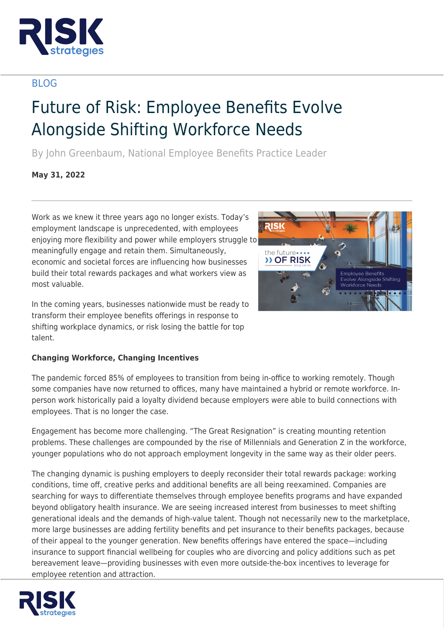

## BLOG

# Future of Risk: Employee Benefits Evolve Alongside Shifting Workforce Needs

By John Greenbaum, National Employee Benefits Practice Leader

**May 31, 2022**

Work as we knew it three years ago no longer exists. Today's employment landscape is unprecedented, with employees enjoying more flexibility and power while employers struggle to meaningfully engage and retain them. Simultaneously, economic and societal forces are influencing how businesses build their total rewards packages and what workers view as most valuable.

In the coming years, businesses nationwide must be ready to transform their employee benefits offerings in response to shifting workplace dynamics, or risk losing the battle for top talent.



The pandemic forced 85% of employees to transition from being in-office to working remotely. Though some companies have now returned to offices, many have maintained a hybrid or remote workforce. Inperson work historically paid a loyalty dividend because employers were able to build connections with employees. That is no longer the case.

Engagement has become more challenging. "The Great Resignation" is creating mounting retention problems. These challenges are compounded by the rise of Millennials and Generation Z in the workforce, younger populations who do not approach employment longevity in the same way as their older peers.

The changing dynamic is pushing employers to deeply reconsider their total rewards package: working conditions, time off, creative perks and additional benefits are all being reexamined. Companies are searching for ways to differentiate themselves through employee benefits programs and have expanded beyond obligatory health insurance. We are seeing increased interest from businesses to meet shifting generational ideals and the demands of high-value talent. Though not necessarily new to the marketplace, more large businesses are adding fertility benefits and pet insurance to their benefits packages, because of their appeal to the younger generation. New benefits offerings have entered the space—including insurance to support financial wellbeing for couples who are divorcing and policy additions such as pet bereavement leave—providing businesses with even more outside-the-box incentives to leverage for employee retention and attraction.



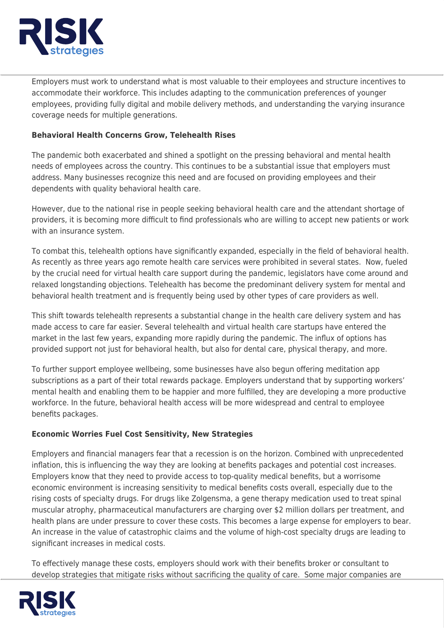

Employers must work to understand what is most valuable to their employees and structure incentives to accommodate their workforce. This includes adapting to the communication preferences of younger employees, providing fully digital and mobile delivery methods, and understanding the varying insurance coverage needs for multiple generations.

#### **Behavioral Health Concerns Grow, Telehealth Rises**

The pandemic both exacerbated and shined a spotlight on the pressing behavioral and mental health needs of employees across the country. This continues to be a substantial issue that employers must address. Many businesses recognize this need and are focused on providing employees and their dependents with quality behavioral health care.

However, due to the national rise in people seeking behavioral health care and the attendant shortage of providers, it is becoming more difficult to find professionals who are willing to accept new patients or work with an insurance system.

To combat this, telehealth options have significantly expanded, especially in the field of behavioral health. As recently as three years ago remote health care services were prohibited in several states. Now, fueled by the crucial need for virtual health care support during the pandemic, legislators have come around and relaxed longstanding objections. Telehealth has become the predominant delivery system for mental and behavioral health treatment and is frequently being used by other types of care providers as well.

This shift towards telehealth represents a substantial change in the health care delivery system and has made access to care far easier. Several telehealth and virtual health care startups have entered the market in the last few years, expanding more rapidly during the pandemic. The influx of options has provided support not just for behavioral health, but also for dental care, physical therapy, and more.

To further support employee wellbeing, some businesses have also begun offering meditation app subscriptions as a part of their total rewards package. Employers understand that by supporting workers' mental health and enabling them to be happier and more fulfilled, they are developing a more productive workforce. In the future, behavioral health access will be more widespread and central to employee benefits packages.

### **Economic Worries Fuel Cost Sensitivity, New Strategies**

Employers and financial managers fear that a recession is on the horizon. Combined with unprecedented inflation, this is influencing the way they are looking at benefits packages and potential cost increases. Employers know that they need to provide access to top-quality medical benefits, but a worrisome economic environment is increasing sensitivity to medical benefits costs overall, especially due to the rising costs of specialty drugs. For drugs like Zolgensma, a gene therapy medication used to treat spinal muscular atrophy, pharmaceutical manufacturers are charging over \$2 million dollars per treatment, and health plans are under pressure to cover these costs. This becomes a large expense for employers to bear. An increase in the value of catastrophic claims and the volume of high-cost specialty drugs are leading to significant increases in medical costs.

To effectively manage these costs, employers should work with their benefits broker or consultant to develop strategies that mitigate risks without sacrificing the quality of care. Some major companies are